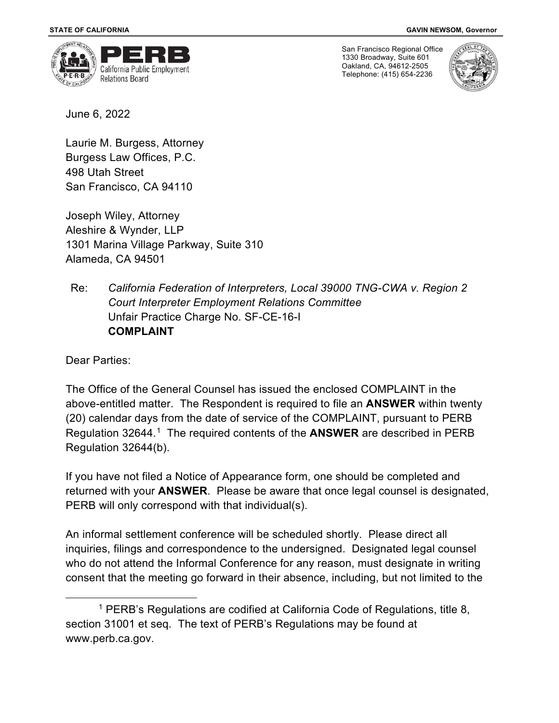

San Francisco Regional Office 1330 Broadway, Suite 601 Oakland, CA, 94612-2505 Telephone: (415) 654-2236



June 6, 2022

Laurie M. Burgess, Attorney Burgess Law Offices, P.C. 498 Utah Street San Francisco, CA 94110

Joseph Wiley, Attorney Aleshire & Wynder, LLP 1301 Marina Village Parkway, Suite 310 Alameda, CA 94501

Re: *California Federation of Interpreters, Local 39000 TNG-CWA v. Region 2 Court Interpreter Employment Relations Committee* Unfair Practice Charge No. SF-CE-16-I **COMPLAINT** 

Dear Parties:

The Office of the General Counsel has issued the enclosed COMPLAINT in the above-entitled matter. The Respondent is required to file an **ANSWER** within twenty (20) calendar days from the date of service of the COMPLAINT, pursuant to PERB Regulation 32644.[1](#page-0-0) The required contents of the **ANSWER** are described in PERB Regulation 32644(b).

If you have not filed a Notice of Appearance form, one should be completed and returned with your **ANSWER**. Please be aware that once legal counsel is designated, PERB will only correspond with that individual(s).

An informal settlement conference will be scheduled shortly. Please direct all inquiries, filings and correspondence to the undersigned. Designated legal counsel who do not attend the Informal Conference for any reason, must designate in writing consent that the meeting go forward in their absence, including, but not limited to the

<span id="page-0-0"></span> $^1$  PERB's Regulations are codified at California Code of Regulations, title 8, section 31001 et seq. The text of PERB's Regulations may be found at www.perb.ca.gov.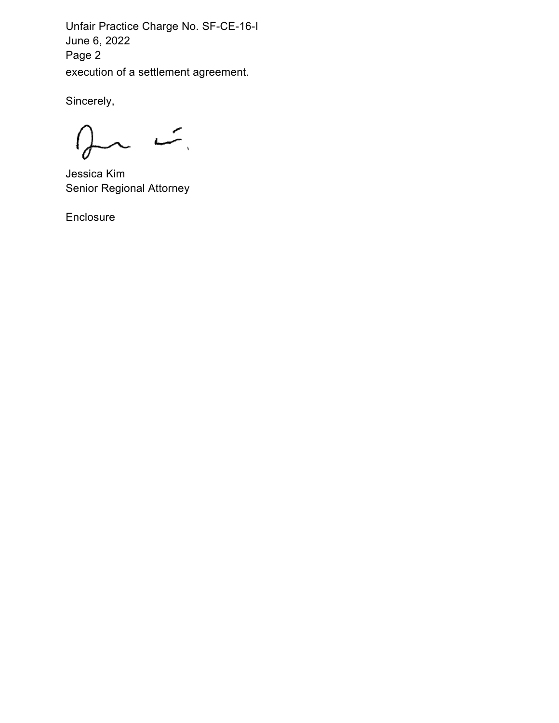Unfair Practice Charge No. SF-CE-16-I June 6, 2022 Page 2 execution of a settlement agreement.

Sincerely,

بمسد  $\sim$ 

Jessica Kim Senior Regional Attorney

Enclosure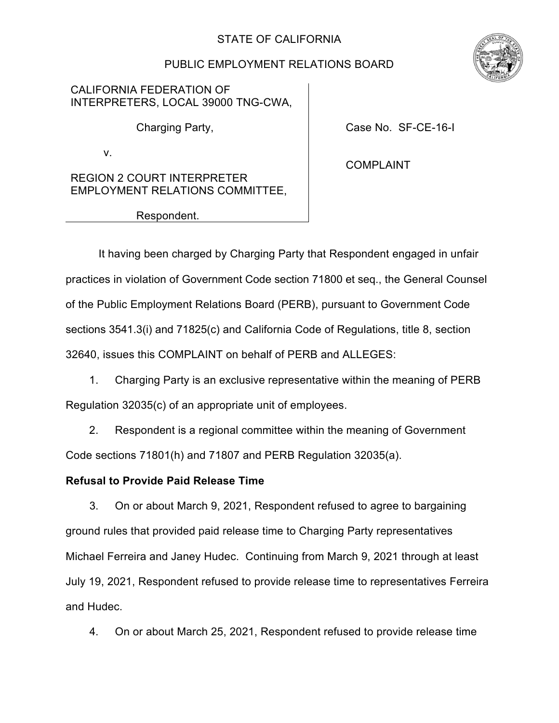# STATE OF CALIFORNIA

# PUBLIC EMPLOYMENT RELATIONS BOARD

CALIFORNIA FEDERATION OF INTERPRETERS, LOCAL 39000 TNG-CWA,

Charging Party, **Charging Party, Exercise Act Act Act Case No. SF-CE-16-I** 

v.

COMPLAINT

REGION 2 COURT INTERPRETER EMPLOYMENT RELATIONS COMMITTEE,

Respondent.

It having been charged by Charging Party that Respondent engaged in unfair practices in violation of Government Code section 71800 et seq., the General Counsel of the Public Employment Relations Board (PERB), pursuant to Government Code sections 3541.3(i) and 71825(c) and California Code of Regulations, title 8, section 32640, issues this COMPLAINT on behalf of PERB and ALLEGES:

1. Charging Party is an exclusive representative within the meaning of PERB Regulation 32035(c) of an appropriate unit of employees.

2. Respondent is a regional committee within the meaning of Government Code sections 71801(h) and 71807 and PERB Regulation 32035(a).

## **Refusal to Provide Paid Release Time**

3. On or about March 9, 2021, Respondent refused to agree to bargaining ground rules that provided paid release time to Charging Party representatives Michael Ferreira and Janey Hudec. Continuing from March 9, 2021 through at least July 19, 2021, Respondent refused to provide release time to representatives Ferreira and Hudec.

4. On or about March 25, 2021, Respondent refused to provide release time

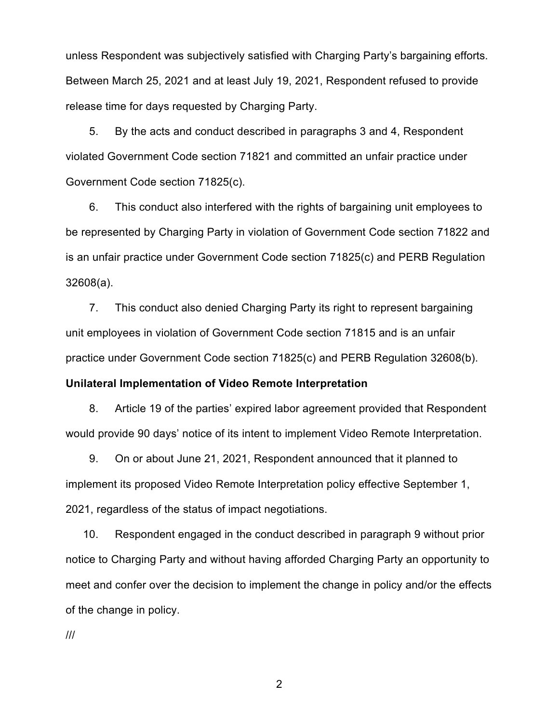unless Respondent was subjectively satisfied with Charging Party's bargaining efforts. Between March 25, 2021 and at least July 19, 2021, Respondent refused to provide release time for days requested by Charging Party.

5. By the acts and conduct described in paragraphs 3 and 4, Respondent violated Government Code section 71821 and committed an unfair practice under Government Code section 71825(c).

6. This conduct also interfered with the rights of bargaining unit employees to be represented by Charging Party in violation of Government Code section 71822 and is an unfair practice under Government Code section 71825(c) and PERB Regulation 32608(a).

7. This conduct also denied Charging Party its right to represent bargaining unit employees in violation of Government Code section 71815 and is an unfair practice under Government Code section 71825(c) and PERB Regulation 32608(b).

#### **Unilateral Implementation of Video Remote Interpretation**

8. Article 19 of the parties' expired labor agreement provided that Respondent would provide 90 days' notice of its intent to implement Video Remote Interpretation.

9. On or about June 21, 2021, Respondent announced that it planned to implement its proposed Video Remote Interpretation policy effective September 1, 2021, regardless of the status of impact negotiations.

10. Respondent engaged in the conduct described in paragraph 9 without prior notice to Charging Party and without having afforded Charging Party an opportunity to meet and confer over the decision to implement the change in policy and/or the effects of the change in policy.

///

2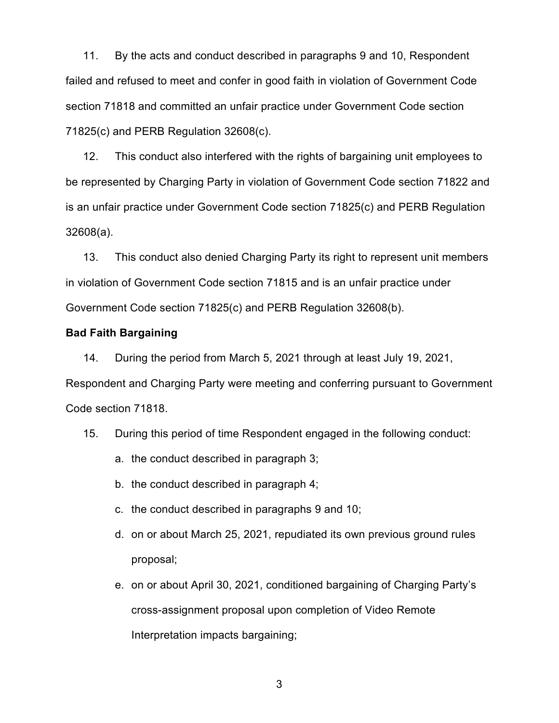11. By the acts and conduct described in paragraphs 9 and 10, Respondent failed and refused to meet and confer in good faith in violation of Government Code section 71818 and committed an unfair practice under Government Code section 71825(c) and PERB Regulation 32608(c).

12. This conduct also interfered with the rights of bargaining unit employees to be represented by Charging Party in violation of Government Code section 71822 and is an unfair practice under Government Code section 71825(c) and PERB Regulation 32608(a).

13. This conduct also denied Charging Party its right to represent unit members in violation of Government Code section 71815 and is an unfair practice under Government Code section 71825(c) and PERB Regulation 32608(b).

### **Bad Faith Bargaining**

14. During the period from March 5, 2021 through at least July 19, 2021, Respondent and Charging Party were meeting and conferring pursuant to Government Code section 71818.

- 15. During this period of time Respondent engaged in the following conduct:
	- a. the conduct described in paragraph 3;
	- b. the conduct described in paragraph 4;
	- c. the conduct described in paragraphs 9 and 10;
	- d. on or about March 25, 2021, repudiated its own previous ground rules proposal;
	- e. on or about April 30, 2021, conditioned bargaining of Charging Party's cross-assignment proposal upon completion of Video Remote Interpretation impacts bargaining;

3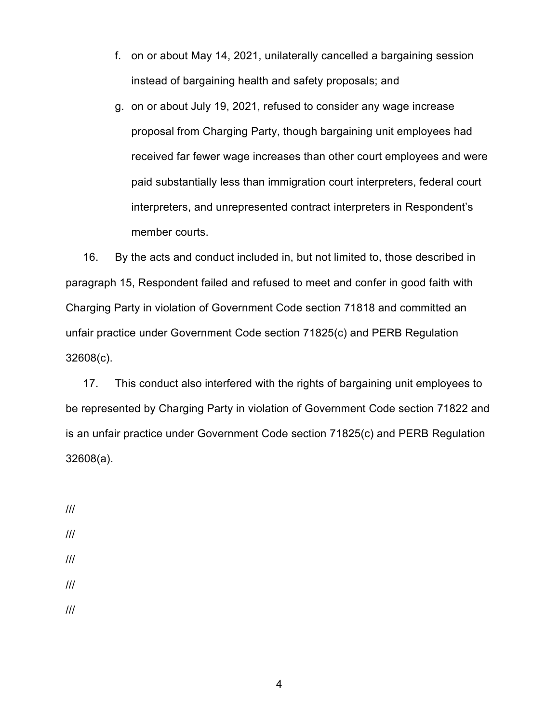- f. on or about May 14, 2021, unilaterally cancelled a bargaining session instead of bargaining health and safety proposals; and
- g. on or about July 19, 2021, refused to consider any wage increase proposal from Charging Party, though bargaining unit employees had received far fewer wage increases than other court employees and were paid substantially less than immigration court interpreters, federal court interpreters, and unrepresented contract interpreters in Respondent's member courts.

16. By the acts and conduct included in, but not limited to, those described in paragraph 15, Respondent failed and refused to meet and confer in good faith with Charging Party in violation of Government Code section 71818 and committed an unfair practice under Government Code section 71825(c) and PERB Regulation 32608(c).

17. This conduct also interfered with the rights of bargaining unit employees to be represented by Charging Party in violation of Government Code section 71822 and is an unfair practice under Government Code section 71825(c) and PERB Regulation 32608(a).

///

///

- ///
- ///
- ///

4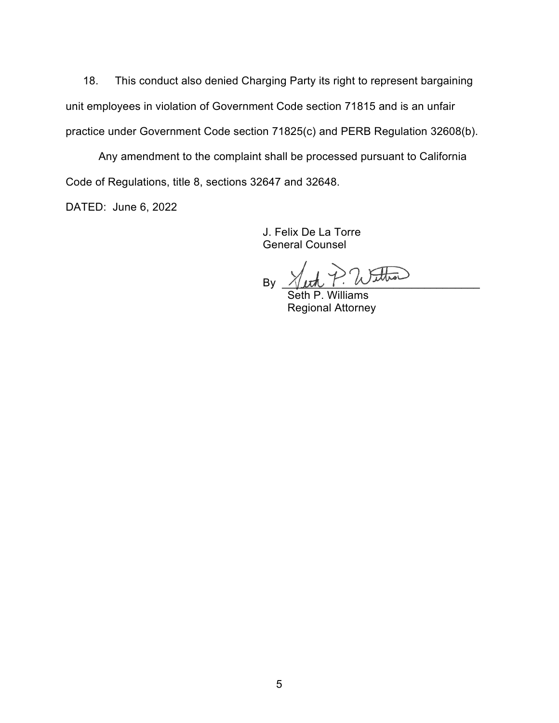18. This conduct also denied Charging Party its right to represent bargaining unit employees in violation of Government Code section 71815 and is an unfair practice under Government Code section 71825(c) and PERB Regulation 32608(b).

Any amendment to the complaint shall be processed pursuant to California Code of Regulations, title 8, sections 32647 and 32648.

DATED: June 6, 2022

J. Felix De La Torre General Counsel

By  $\sqrt{\mu\hbar}$   $\int$ . We we will

Seth P. Williams Regional Attorney